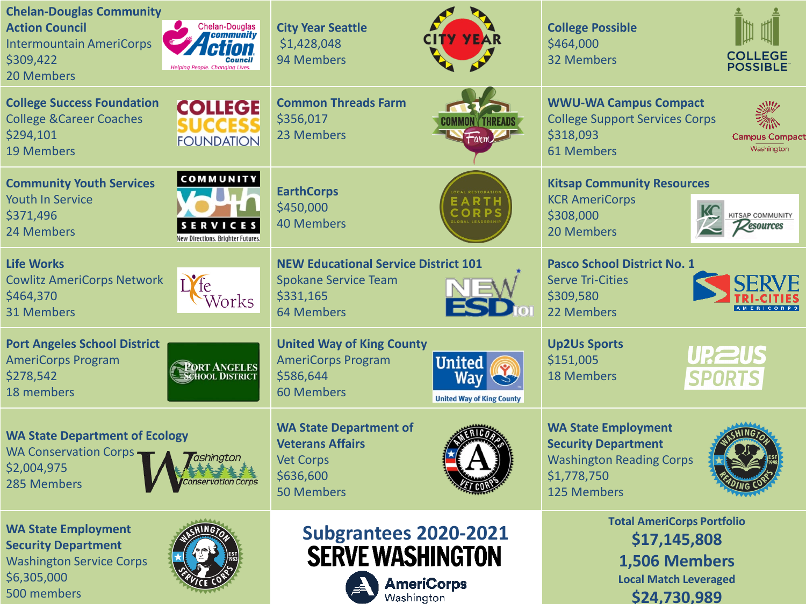| <b>Chelan-Douglas Community</b><br><b>Chelan-Douglas</b><br><b>Action Council</b><br><i><b>Community</b></i><br><b>Intermountain AmeriCorps</b><br>\$309,422<br><b>Council</b><br><b>Helping People. Changing Lives.</b><br>20 Members | <b>City Year Seattle</b><br>\$1,428,048<br>94 Members                                                                                  | <b>College Possible</b><br>\$464,000<br><b>COLLEGE</b><br><b>32 Members</b><br><b>POSSIBLE</b>                                         |
|----------------------------------------------------------------------------------------------------------------------------------------------------------------------------------------------------------------------------------------|----------------------------------------------------------------------------------------------------------------------------------------|----------------------------------------------------------------------------------------------------------------------------------------|
| <b>College Success Foundation</b><br><b>COLLEGE</b><br><b>College &amp; Career Coaches</b><br>SUCCES<br>\$294,101<br><b>FOUNDATION</b><br><b>19 Members</b>                                                                            | <b>Common Threads Farm</b><br>\$356,017<br>OMMON Y THREAD<br>23 Members<br>⊢arm                                                        | <b>WWU-WA Campus Compact</b><br><b>College Support Services Corps</b><br>\$318,093<br><b>Campus Compac</b><br>Washington<br>61 Members |
| <b>COMMUNITY</b><br><b>Community Youth Services</b><br><b>Youth In Service</b><br>\$371,496<br><b>SERVICES</b><br>24 Members<br>New Directions. Brighter Futures.                                                                      | <b>EarthCorps</b><br>\$450,000<br><b>40 Members</b>                                                                                    | <b>Kitsap Community Resources</b><br><b>KCR AmeriCorps</b><br>\$308,000<br><b>ITSAP COMMUNITY</b><br><i>Pesources</i><br>20 Members    |
| <b>Life Works</b><br><b>Cowlitz AmeriCorps Network</b><br>\$464,370<br>Vorks<br><b>31 Members</b>                                                                                                                                      | <b>NEW Educational Service District 101</b><br><b>Spokane Service Team</b><br>\$331,165<br><b>64 Members</b>                           | <b>Pasco School District No. 1</b><br><b>Serve Tri-Cities</b><br>\$309,580<br>22 Members                                               |
| <b>Port Angeles School District</b><br><b>AmeriCorps Program</b><br><b>PORT ANGELES</b><br>SCHOOL DISTRICT<br>\$278,542<br>18 members                                                                                                  | <b>United Way of King County</b><br><b>AmeriCorps Program</b><br>United<br>\$586,644<br>60 Members<br><b>United Way of King County</b> | <b>Up2Us Sports</b><br><b>UP, 2US</b><br>\$151,005<br><b>18 Members</b><br><b>SPORTS</b>                                               |
| <b>WA State Department of Ecology</b><br><b>WA Conservation Corps-</b><br>ashinato.<br>\$2,004,975<br>285 Members                                                                                                                      | <b>WA State Department of</b><br><b>Veterans Affairs</b><br><b>Vet Corps</b><br>\$636,600<br><b>50 Members</b>                         | <b>WA State Employment</b><br><b>Security Department</b><br><b>Washington Reading Corps</b><br>\$1,778,750<br>125 Members              |
| <b>WA State Employment</b><br><b>Security Department</b><br><b>Washington Service Corps</b><br>\$6,305,000<br>500 members                                                                                                              | <b>Subgrantees 2020-2021</b><br><b>SERVE WASHINGTON</b><br><b>AmeriCorps</b><br>Washington                                             | <b>Total AmeriCorps Portfolio</b><br>\$17,145,808<br>1,506 Members<br><b>Local Match Leveraged</b><br>\$24.730.989                     |